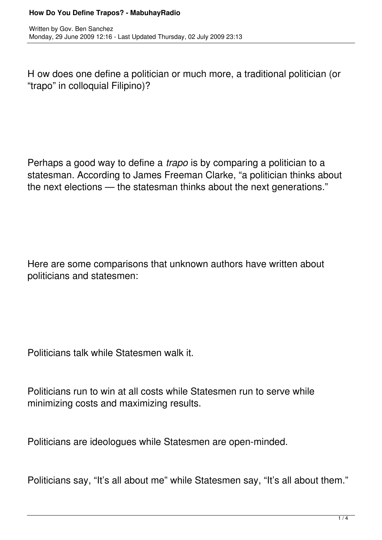H ow does one define a politician or much more, a traditional politician (or "trapo" in colloquial Filipino)?

Perhaps a good way to define a *trapo* is by comparing a politician to a statesman. According to James Freeman Clarke, "a politician thinks about the next elections — the statesman thinks about the next generations."

Here are some comparisons that unknown authors have written about politicians and statesmen:

Politicians talk while Statesmen walk it.

Politicians run to win at all costs while Statesmen run to serve while minimizing costs and maximizing results.

Politicians are ideologues while Statesmen are open-minded.

Politicians say, "It's all about me" while Statesmen say, "It's all about them."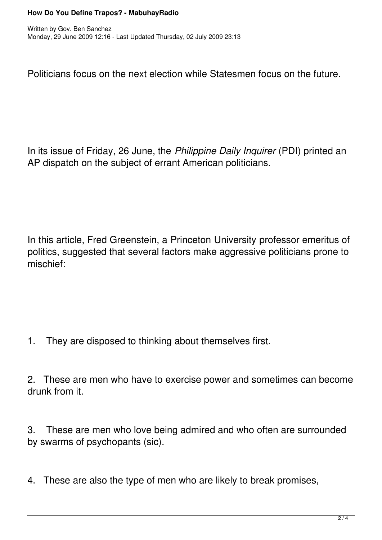Politicians focus on the next election while Statesmen focus on the future.

In its issue of Friday, 26 June, the *Philippine Daily Inquirer* (PDI) printed an AP dispatch on the subject of errant American politicians.

In this article, Fred Greenstein, a Princeton University professor emeritus of politics, suggested that several factors make aggressive politicians prone to mischief:

1. They are disposed to thinking about themselves first.

2. These are men who have to exercise power and sometimes can become drunk from it.

3. These are men who love being admired and who often are surrounded by swarms of psychopants (sic).

4. These are also the type of men who are likely to break promises,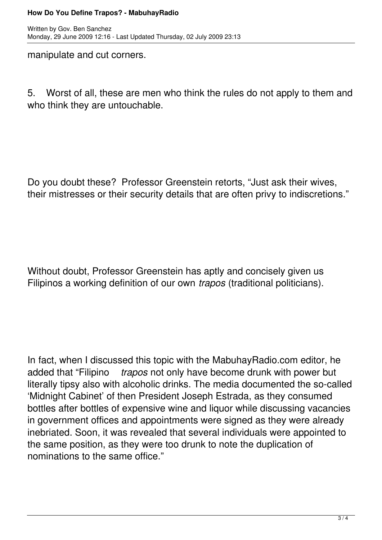## **How Do You Define Trapos? - MabuhayRadio**

manipulate and cut corners.

5. Worst of all, these are men who think the rules do not apply to them and who think they are untouchable.

Do you doubt these? Professor Greenstein retorts, "Just ask their wives, their mistresses or their security details that are often privy to indiscretions."

Without doubt, Professor Greenstein has aptly and concisely given us Filipinos a working definition of our own *trapos* (traditional politicians).

In fact, when I discussed this topic with the MabuhayRadio.com editor, he added that "Filipino *trapos* not only have become drunk with power but literally tipsy also with alcoholic drinks. The media documented the so-called 'Midnight Cabinet' of then President Joseph Estrada, as they consumed bottles after bottles of expensive wine and liquor while discussing vacancies in government offices and appointments were signed as they were already inebriated. Soon, it was revealed that several individuals were appointed to the same position, as they were too drunk to note the duplication of nominations to the same office."